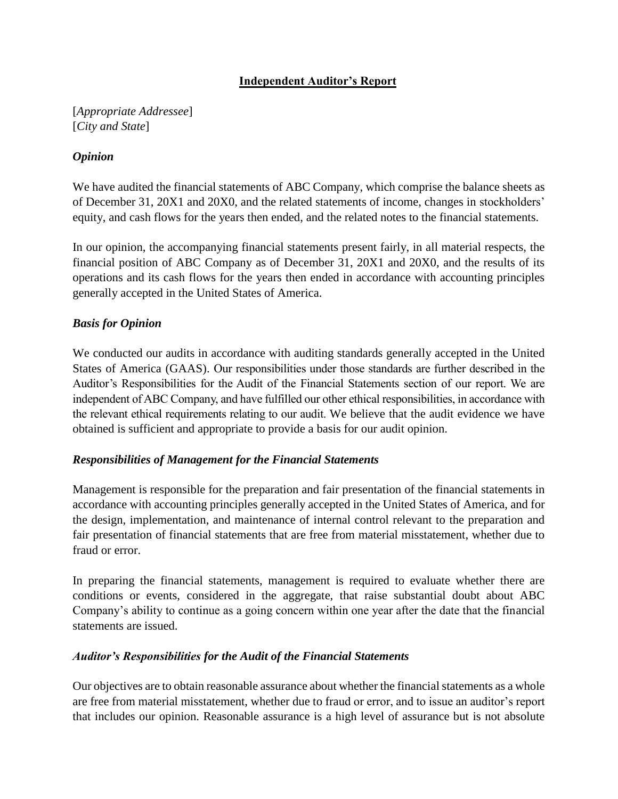# **Independent Auditor's Report**

[*Appropriate Addressee*] [*City and State*]

## *Opinion*

We have audited the financial statements of ABC Company, which comprise the balance sheets as of December 31, 20X1 and 20X0, and the related statements of income, changes in stockholders' equity, and cash flows for the years then ended, and the related notes to the financial statements.

In our opinion, the accompanying financial statements present fairly, in all material respects, the financial position of ABC Company as of December 31, 20X1 and 20X0, and the results of its operations and its cash flows for the years then ended in accordance with accounting principles generally accepted in the United States of America.

### *Basis for Opinion*

We conducted our audits in accordance with auditing standards generally accepted in the United States of America (GAAS). Our responsibilities under those standards are further described in the Auditor's Responsibilities for the Audit of the Financial Statements section of our report. We are independent of ABC Company, and have fulfilled our other ethical responsibilities, in accordance with the relevant ethical requirements relating to our audit. We believe that the audit evidence we have obtained is sufficient and appropriate to provide a basis for our audit opinion.

### *Responsibilities of Management for the Financial Statements*

Management is responsible for the preparation and fair presentation of the financial statements in accordance with accounting principles generally accepted in the United States of America, and for the design, implementation, and maintenance of internal control relevant to the preparation and fair presentation of financial statements that are free from material misstatement, whether due to fraud or error.

In preparing the financial statements, management is required to evaluate whether there are conditions or events, considered in the aggregate, that raise substantial doubt about ABC Company's ability to continue as a going concern within one year after the date that the financial statements are issued.

### *Auditor's Responsibilities for the Audit of the Financial Statements*

Our objectives are to obtain reasonable assurance about whether the financial statements as a whole are free from material misstatement, whether due to fraud or error, and to issue an auditor's report that includes our opinion. Reasonable assurance is a high level of assurance but is not absolute